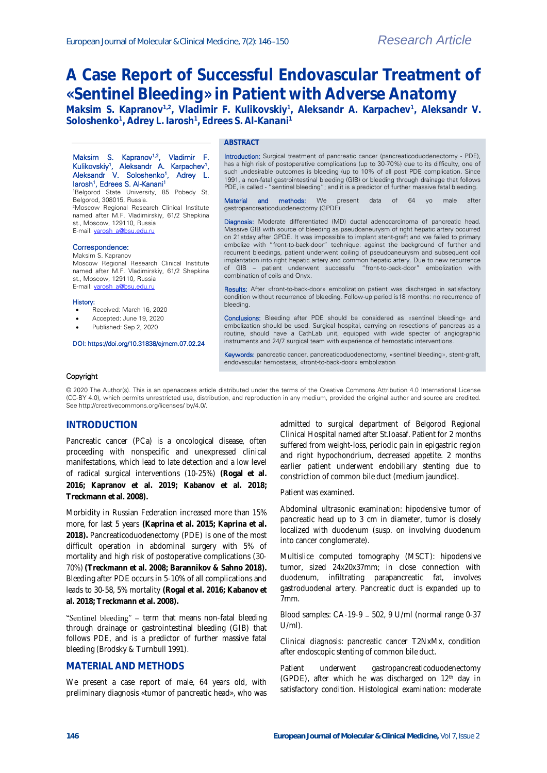# **A Case Report of Successful Endovascular Treatment of «Sentinel Bleeding» in Patient with Adverse Anatomy**

**Maksim S. Kapranov1,2, Vladimir F. Kulikovskiy<sup>1</sup> , Aleksandr A. Karpachev<sup>1</sup> , Aleksandr V. Soloshenko<sup>1</sup> , Adrey L. Iarosh<sup>1</sup> , Edrees S. Al-Kanani<sup>1</sup>**

#### Maksim S. Kapranov<sup>1,2</sup>, Vladimir F. Kulikovskiy<sup>1</sup>, Aleksandr A. Karpachev<sup>1</sup>, Aleksandr V. Soloshenko<sup>1</sup>, Adrey L. Iarosh<sup>1</sup> , Edrees S. Al-Kanani<sup>1</sup>

<sup>1</sup>Belgorod State University, 85 Pobedy St, Belgorod, 308015, Russia. <sup>2</sup>Moscow Regional Research Clinical Institute named after M.F. Vladimirskiy, 61/2 Shepkina st., Moscow, 129110, Russia E-mail[: yarosh\\_a@bsu.edu.ru](mailto:yarosh_a@bsu.edu.ru)

## Correspondence:

Maksim S. Kapranov Moscow Regional Research Clinical Institute named after M.F. Vladimirskiy, 61/2 Shepkina st., Moscow, 129110, Russia

#### History:

Received: March 16, 2020

E-mail[: yarosh\\_a@bsu.edu.ru](mailto:yarosh_a@bsu.edu.ru)

- Accepted: June 19, 2020
- Published: Sep 2, 2020

#### DOI: https://doi.org/10.31838/ejmcm.07.02.24

## **ABSTRACT**

Introduction: Surgical treatment of pancreatic cancer (pancreaticoduodenectomy - PDE), has a high risk of postoperative complications (up to 30-70%) due to its difficulty, one of such undesirable outcomes is bleeding (up to 10% of all post PDE complication. Since 1991, a non-fatal gastrointestinal bleeding (GIB) or bleeding through drainage that follows PDE, is called - "sentinel bleeding"; and it is a predictor of further massive fatal bleeding.

Material and methods: We present data of 64 yo male gastropancreaticoduodenectomy (GPDE).

Diagnosis: Moderate differentiated (MD) ductal adenocarcinoma of pancreatic head. Massive GIB with source of bleeding as pseudoaneurysm of right hepatic artery occurred on 21stday after GPDE. It was impossible to implant stent-graft and we failed to primary embolize with "front-to-back-door" technique: against the background of further and recurrent bleedings, patient underwent coiling of pseudoaneurysm and subsequent coil implantation into right hepatic artery and common hepatic artery. Due to new recurrence of GIB – patient underwent successful "front-to-back-door" embolization with combination of coils and Onyx.

Results: After «front-to-back-door» embolization patient was discharged in satisfactory condition without recurrence of bleeding. Follow-up period is18 months: no recurrence of bleeding.

Conclusions: Bleeding after PDE should be considered as «sentinel bleeding» and embolization should be used. Surgical hospital, carrying on resections of pancreas as a routine, should have a CathLab unit, equipped with wide specter of angiographic instruments and 24/7 surgical team with experience of hemostatic interventions.

Keywords: pancreatic cancer, pancreaticoduodenectomy, «sentinel bleeding», stent-graft, endovascular hemostasis, «front-to-back-door» embolization

#### Copyright

© 2020 The Author(s). This is an openaccess article distributed under the terms of the Creative Commons Attribution 4.0 International License (CC-BY 4.0), which permits unrestricted use, distribution, and reproduction in any medium, provided the original author and source are credited. See http://creativecommons.org/licenses/ by/4.0/.

## **INTRODUCTION**

Pancreatic cancer (PCa) is a oncological disease, often proceeding with nonspecific and unexpressed clinical manifestations, which lead to late detection and a low level of radical surgical interventions (10-25%) **(Rogal et al. 2016; Kapranov et al. 2019; Kabanov et al. 2018; Treckmann et al. 2008).**

Morbidity in Russian Federation increased more than 15% more, for last 5 years **(Kaprina et al. 2015; Kaprina et al. 2018).** Pancreaticoduodenectomy (PDE) is one of the most difficult operation in abdominal surgery with 5% of mortality and high risk of postoperative complications (30- 70%)**(Treckmann et al. 2008; Barannikov & Sahno 2018).**  Bleeding after PDE occurs in 5-10% of all complications and leads to 30-58, 5% mortality **(Rogal et al. 2016; Kabanov et al. 2018; Treckmann et al. 2008).**

"Sentinel bleeding" - term that means non-fatal bleeding through drainage or gastrointestinal bleeding (GIB) that follows PDE, and is a predictor of further massive fatal bleeding (Brodsky & Turnbull 1991).

## **MATERIAL AND METHODS**

We present a case report of male, 64 years old, with preliminary diagnosis «tumor of pancreatic head», who was

admitted to surgical department of Belgorod Regional Clinical Hospital named after St.Ioasaf. Patient for 2 months suffered from weight-loss, periodic pain in epigastric region and right hypochondrium, decreased appetite. 2 months earlier patient underwent endobiliary stenting due to constriction of common bile duct (medium jaundice).

#### Patient was examined.

Abdominal ultrasonic examination: hipodensive tumor of pancreatic head up to 3 cm in diameter, tumor is closely localized with duodenum (susp. on involving duodenum into cancer conglomerate).

Multislice computed tomography (MSCT): hipodensive tumor, sized 24x20x37mm; in close connection with duodenum, infiltrating parapancreatic fat, involves gastroduodenal artery. Pancreatic duct is expanded up to 7mm.

Blood samples:  $CA-19-9 - 502$ , 9 U/ml (normal range 0-37 U/ml).

Clinical diagnosis: pancreatic cancer T2NxMx, condition after endoscopic stenting of common bile duct.

Patient underwent gastropancreaticoduodenectomy (GPDE), after which he was discharged on  $12<sup>th</sup>$  day in satisfactory condition. Histological examination: moderate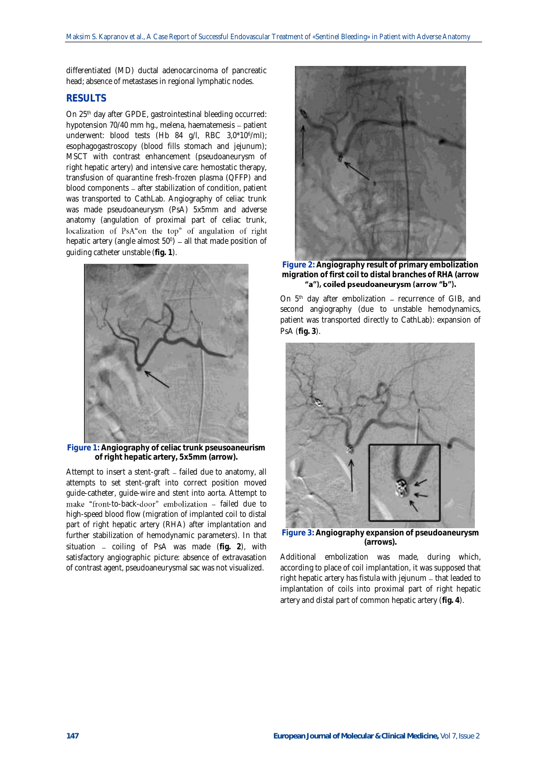differentiated (MD) ductal adenocarcinoma of pancreatic head; absence of metastases in regional lymphatic nodes.

# **RESULTS**

On 25<sup>th</sup> day after GPDE, gastrointestinal bleeding occurred: hypotension 70/40 mm hg., melena, haematemesis - patient underwent: blood tests (Hb 84 g/l, RBC 3,0\*10<sup>6</sup> /ml); esophagogastroscopy (blood fills stomach and jejunum); MSCT with contrast enhancement (pseudoaneurysm of right hepatic artery) and intensive care: hemostatic therapy, transfusion of quarantine fresh-frozen plasma (QFFP) and blood components – after stabilization of condition, patient was transported to CathLab. Angiography of celiac trunk was made pseudoaneurysm (PsA) 5x5mm and adverse anatomy (angulation of proximal part of celiac trunk, localization of PsA"on the top" of angulation of right hepatic artery (angle almost  $50^{\circ}$ ) – all that made position of guiding catheter unstable (**fig. 1**).



**Figure 1: Angiography of celiac trunk pseusoaneurism of right hepatic artery, 5x5mm (arrow).**

Attempt to insert a stent-graft – failed due to anatomy, all attempts to set stent-graft into correct position moved guide-catheter, guide-wire and stent into aorta. Attempt to make "front-to-back-door" embolization - failed due to high-speed blood flow (migration of implanted coil to distal part of right hepatic artery (RHA) after implantation and further stabilization of hemodynamic parameters). In that situation - coiling of PsA was made (fig. 2), with satisfactory angiographic picture: absence of extravasation of contrast agent, pseudoaneurysmal sac was not visualized.



**Figure 2: Angiography result of primary embolization migration of first coil to distal branches of RHA (arrow** 

On  $5<sup>th</sup>$  day after embolization – recurrence of GIB, and second angiography (due to unstable hemodynamics, patient was transported directly to CathLab): expansion of PsA (**fig. 3**).



**Figure 3: Angiography expansion of pseudoaneurysm (arrows).**

Additional embolization was made, during which, according to place of coil implantation, it was supposed that right hepatic artery has fistula with jejunum - that leaded to implantation of coils into proximal part of right hepatic artery and distal part of common hepatic artery (**fig. 4**).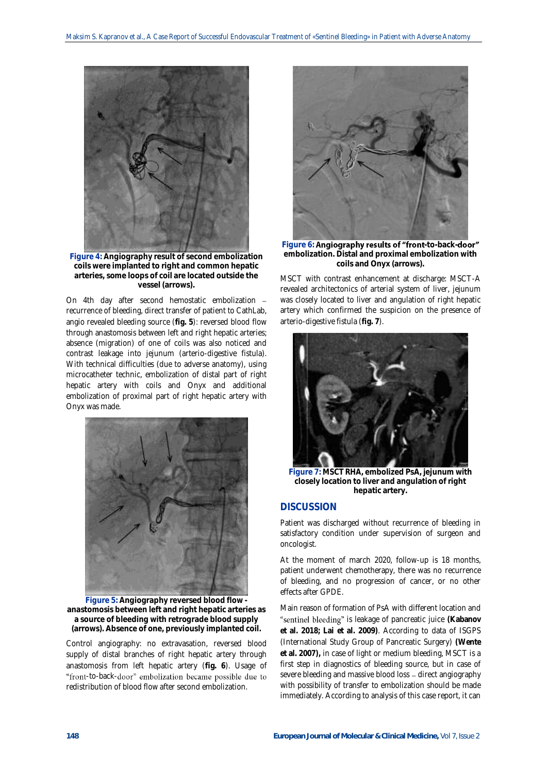

**Figure 4: Angiography result of second embolization coils were implanted to right and common hepatic arteries, some loops of coil are located outside the vessel (arrows).**

On 4th day after second hemostatic embolization recurrence of bleeding, direct transfer of patient to CathLab, angio revealed bleeding source (**fig. 5**): reversed blood flow through anastomosis between left and right hepatic arteries; absence (migration) of one of coils was also noticed and contrast leakage into jejunum (arterio-digestive fistula). With technical difficulties (due to adverse anatomy), using microcatheter technic, embolization of distal part of right hepatic artery with coils and Onyx and additional embolization of proximal part of right hepatic artery with Onyx was made.



**Figure 5: Angiography reversed blood flow anastomosis between left and right hepatic arteries as a source of bleeding with retrograde blood supply (arrows). Absence of one, previously implanted coil.**

Control angiography: no extravasation, reversed blood supply of distal branches of right hepatic artery through anastomosis from left hepatic artery (**fig. 6**). Usage of "front-to-back-door" embolization became possible due to redistribution of blood flow after second embolization.



Figure 6: Angiography results of "front-to-back-door" **embolization. Distal and proximal embolization with coils and Onyx (arrows).**

MSCT with contrast enhancement at discharge: MSCT-A revealed architectonics of arterial system of liver, jejunum was closely located to liver and angulation of right hepatic artery which confirmed the suspicion on the presence of arterio-digestive fistula (**fig. 7**).



**Figure 7: MSCT RHA, embolized PsA, jejunum with closely location to liver and angulation of right hepatic artery.**

# **DISCUSSION**

Patient was discharged without recurrence of bleeding in satisfactory condition under supervision of surgeon and oncologist.

At the moment of march 2020, follow-up is 18 months, patient underwent chemotherapy, there was no recurrence of bleeding, and no progression of cancer, or no other effects after GPDE.

Main reason of formation of PsA with different location and "sentinel bleeding" is leakage of pancreatic juice (Kabanov **et al. 2018; Lai et al. 2009)**. According to data of ISGPS (International Study Group of Pancreatic Surgery) **(Wente et al. 2007),** in case of light or medium bleeding, MSCT is a first step in diagnostics of bleeding source, but in case of severe bleeding and massive blood loss – direct angiography with possibility of transfer to embolization should be made immediately. According to analysis of this case report, it can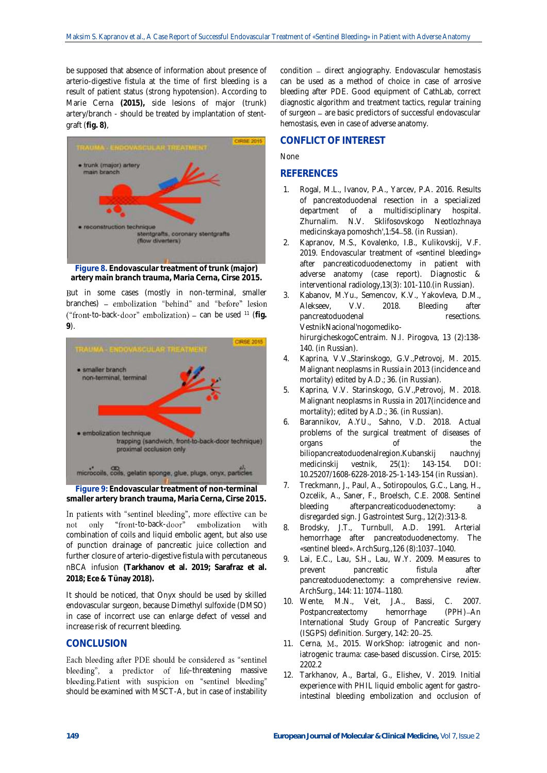be supposed that absence of information about presence of arterio-digestive fistula at the time of first bleeding is a result of patient status (strong hypotension). According to Marie Cerna **(2015),** side lesions of major (trunk) artery/branch - should be treated by implantation of stentgraft (**fig. 8)**,



**Figure 8. Endovascular treatment of trunk (major) artery main branch trauma, Maria Cerna, Cirse 2015.**

But in some cases (mostly in non-terminal, smaller branches) - embolization "behind" and "before" lesion ("front-to-back-door" embolization) - can be used <sup>11</sup> (fig. **9**).



**Figure 9: Endovascular treatment of non-terminal smaller artery branch trauma, Maria Cerna, Cirse 2015.**

In patients with "sentinel bleeding", more effective can be not only "front-to-back-door" embolization with combination of coils and liquid embolic agent, but also use of punction drainage of pancreatic juice collection and further closure of arterio-digestive fistula with percutaneous nBCA infusion **(Tarkhanov et al. 2019; Sarafraz et al. 2018; Ece & Tünay 2018).**

It should be noticed, that Onyx should be used by skilled endovascular surgeon, because Dimethyl sulfoxide (DMSO) in case of incorrect use can enlarge defect of vessel and increase risk of recurrent bleeding.

## **CONCLUSION**

Each bleeding after PDE should be considered as "sentinel bleeding", a predictor of life-threatening massive bleeding.Patient with suspicion on "sentinel bleeding" should be examined with MSCT-A, but in case of instability

condition - direct angiography. Endovascular hemostasis can be used as a method of choice in case of arrosive bleeding after PDE. Good equipment of CathLab, correct diagnostic algorithm and treatment tactics, regular training of surgeon - are basic predictors of successful endovascular hemostasis, even in case of adverse anatomy.

# **CONFLICT OF INTEREST**

None

# **REFERENCES**

- 1. Rogal, M.L., Ivanov, P.A., Yarcev, P.A. 2016. Results of pancreatoduodenal resection in a specialized department of a multidisciplinary hospital. Zhurnalim. N.V. Sklifosovskogo Neotlozhnaya medicinskaya pomoshch', 1:54-58. (in Russian).
- 2. Kapranov, M.S., Kovalenko, I.B., Kulikovskij, V.F. 2019. Endovascular treatment of «sentinel bleeding» after pancreaticoduodenectomy in patient with adverse anatomy (case report). Diagnostic & interventional radiology,13(3): 101-110.(in Russian).
- 3. Kabanov, M.Yu., Semencov, K.V., Yakovleva, D.M., Alekseev, V.V. 2018. Bleeding after pancreatoduodenal resections. VestnikNacional'nogomedikohirurgicheskogoCentraim. N.I. Pirogova, 13 (2):138- 140. (in Russian).
- 4. Kaprina, V.V.,Starinskogo, G.V.,Petrovoj, M. 2015. Malignant neoplasms in Russia in 2013 (incidence and mortality) edited by A.D.; 36. (in Russian).
- 5. Kaprina, V.V. Starinskogo, G.V.,Petrovoj, M. 2018. Malignant neoplasms in Russia in 2017(incidence and mortality); edited by A.D.; 36. (in Russian).
- 6. Barannikov, A.YU., Sahno, V.D. 2018. Actual problems of the surgical treatment of diseases of organs of the biliopancreatoduodenalregion.Kubanskij nauchnyj medicinskij vestnik, 25(1): 143-154. DOI: 10.25207/1608-6228-2018-25-1-143-154 (in Russian).
- 7. Treckmann, J., Paul, A., Sotiropoulos, G.C., Lang, H., Ozcelik, A., Saner, F., Broelsch, C.E. 2008. Sentinel bleeding afterpancreaticoduodenectomy: disregarded sign. J Gastrointest Surg., 12(2):313-8.
- 8. Brodsky, J.T., Turnbull, A.D. 1991. Arterial hemorrhage after pancreatoduodenectomy. The «sentinel bleed». ArchSurg., 126 (8): 1037-1040.
- 9. Lai, E.C., Lau, S.H., Lau, W.Y. 2009. Measures to prevent pancreatic fistula after pancreatoduodenectomy: a comprehensive review. ArchSurg., 144: 11: 1074-1180.
- 10. Wente, M.N., Veit, J.A., Bassi, C. 2007.<br>Postpancreatectomy hemorrhage (PPH)-An Postpancreatectomy hemorrhage International Study Group of Pancreatic Surgery (ISGPS) definition. Surgery, 142: 20-25.
- 11. Cerna, M., 2015. WorkShop: iatrogenic and noniatrogenic trauma: case-based discussion. Cirse, 2015: 2202.2
- 12. Tarkhanov, A., Bartal, G., Elishev, V. 2019. Initial experience with PHIL liquid embolic agent for gastrointestinal bleeding embolization and occlusion of